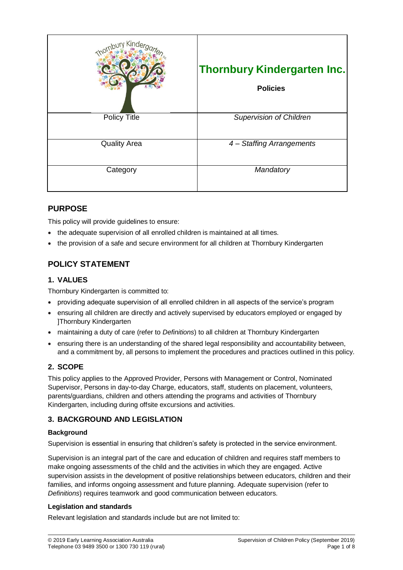| <b>bury Kinde</b>   | <b>Thornbury Kindergarten Inc.</b><br><b>Policies</b> |
|---------------------|-------------------------------------------------------|
| <b>Policy Title</b> | <b>Supervision of Children</b>                        |
| <b>Quality Area</b> | 4 - Staffing Arrangements                             |
| Category            | Mandatory                                             |

# **PURPOSE**

This policy will provide guidelines to ensure:

- the adequate supervision of all enrolled children is maintained at all times.
- the provision of a safe and secure environment for all children at Thornbury Kindergarten

# **POLICY STATEMENT**

### **1. VALUES**

Thornbury Kindergarten is committed to:

- providing adequate supervision of all enrolled children in all aspects of the service's program
- ensuring all children are directly and actively supervised by educators employed or engaged by ]Thornbury Kindergarten
- maintaining a duty of care (refer to *Definitions*) to all children at Thornbury Kindergarten
- ensuring there is an understanding of the shared legal responsibility and accountability between, and a commitment by, all persons to implement the procedures and practices outlined in this policy.

# **2. SCOPE**

This policy applies to the Approved Provider, Persons with Management or Control, Nominated Supervisor, Persons in day-to-day Charge, educators, staff, students on placement, volunteers, parents/guardians, children and others attending the programs and activities of Thornbury Kindergarten, including during offsite excursions and activities.

# **3. BACKGROUND AND LEGISLATION**

### **Background**

Supervision is essential in ensuring that children's safety is protected in the service environment.

Supervision is an integral part of the care and education of children and requires staff members to make ongoing assessments of the child and the activities in which they are engaged. Active supervision assists in the development of positive relationships between educators, children and their families, and informs ongoing assessment and future planning. Adequate supervision (refer to *Definitions*) requires teamwork and good communication between educators.

### **Legislation and standards**

Relevant legislation and standards include but are not limited to: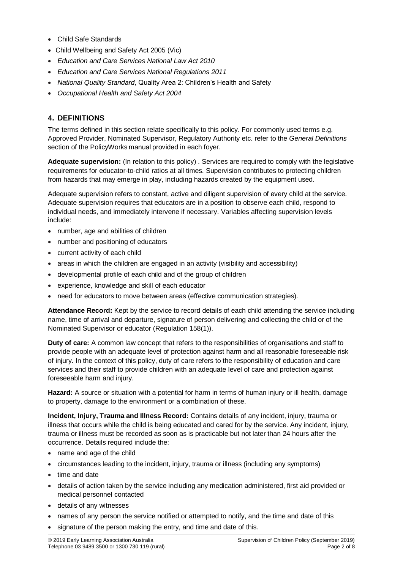- Child Safe Standards
- Child Wellbeing and Safety Act 2005 (Vic)
- *Education and Care Services National Law Act 2010*
- *Education and Care Services National Regulations 2011*
- *National Quality Standard*, Quality Area 2: Children's Health and Safety
- *Occupational Health and Safety Act 2004*

# **4. DEFINITIONS**

The terms defined in this section relate specifically to this policy. For commonly used terms e.g. Approved Provider, Nominated Supervisor, Regulatory Authority etc. refer to the *General Definitions* section of the PolicyWorks manual provided in each foyer.

**Adequate supervision:** (In relation to this policy) . Services are required to comply with the legislative requirements for educator-to-child ratios at all times. Supervision contributes to protecting children from hazards that may emerge in play, including hazards created by the equipment used.

Adequate supervision refers to constant, active and diligent supervision of every child at the service. Adequate supervision requires that educators are in a position to observe each child, respond to individual needs, and immediately intervene if necessary. Variables affecting supervision levels include:

- number, age and abilities of children
- number and positioning of educators
- current activity of each child
- areas in which the children are engaged in an activity (visibility and accessibility)
- developmental profile of each child and of the group of children
- experience, knowledge and skill of each educator
- need for educators to move between areas (effective communication strategies).

**Attendance Record:** Kept by the service to record details of each child attending the service including name, time of arrival and departure, signature of person delivering and collecting the child or of the Nominated Supervisor or educator (Regulation 158(1)).

**Duty of care:** A common law concept that refers to the responsibilities of organisations and staff to provide people with an adequate level of protection against harm and all reasonable foreseeable risk of injury. In the context of this policy, duty of care refers to the responsibility of education and care services and their staff to provide children with an adequate level of care and protection against foreseeable harm and injury.

**Hazard:** A source or situation with a potential for harm in terms of human injury or ill health, damage to property, damage to the environment or a combination of these.

**Incident, Injury, Trauma and Illness Record:** Contains details of any incident, injury, trauma or illness that occurs while the child is being educated and cared for by the service. Any incident, injury, trauma or illness must be recorded as soon as is practicable but not later than 24 hours after the occurrence. Details required include the:

- name and age of the child
- circumstances leading to the incident, injury, trauma or illness (including any symptoms)
- time and date
- details of action taken by the service including any medication administered, first aid provided or medical personnel contacted
- details of any witnesses
- names of any person the service notified or attempted to notify, and the time and date of this
- signature of the person making the entry, and time and date of this.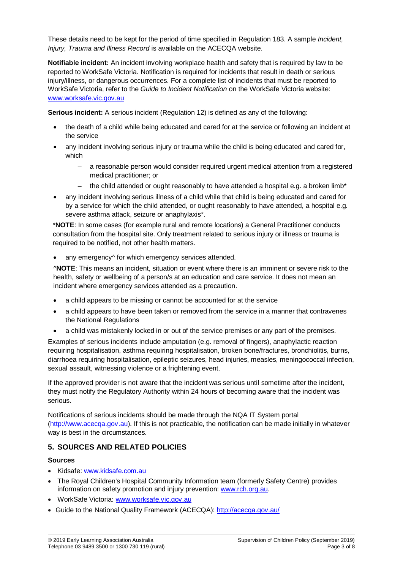These details need to be kept for the period of time specified in Regulation 183. A sample *Incident, Injury, Trauma and Illness Record* is available on the ACECQA website.

**Notifiable incident:** An incident involving workplace health and safety that is required by law to be reported to WorkSafe Victoria. Notification is required for incidents that result in death or serious injury/illness, or dangerous occurrences. For a complete list of incidents that must be reported to WorkSafe Victoria, refer to the *Guide to Incident Notification* on the WorkSafe Victoria website: [www.worksafe.vic.gov.au](http://www.worksafe.vic.gov.au/)

**Serious incident:** A serious incident (Regulation 12) is defined as any of the following:

- the death of a child while being educated and cared for at the service or following an incident at the service
- any incident involving serious injury or trauma while the child is being educated and cared for, which
	- a reasonable person would consider required urgent medical attention from a registered medical practitioner; or
	- the child attended or ought reasonably to have attended a hospital e.g. a broken limb<sup>\*</sup>
- any incident involving serious illness of a child while that child is being educated and cared for by a service for which the child attended, or ought reasonably to have attended, a hospital e.g. severe asthma attack, seizure or anaphylaxis\*.

\***NOTE**: In some cases (for example rural and remote locations) a General Practitioner conducts consultation from the hospital site. Only treatment related to serious injury or illness or trauma is required to be notified, not other health matters.

any emergency<sup> $\land$ </sup> for which emergency services attended.

^**NOTE**: This means an incident, situation or event where there is an imminent or severe risk to the health, safety or wellbeing of a person/s at an education and care service. It does not mean an incident where emergency services attended as a precaution.

- a child appears to be missing or cannot be accounted for at the service
- a child appears to have been taken or removed from the service in a manner that contravenes the National Regulations
- a child was mistakenly locked in or out of the service premises or any part of the premises.

Examples of serious incidents include amputation (e.g. removal of fingers), anaphylactic reaction requiring hospitalisation, asthma requiring hospitalisation, broken bone/fractures, bronchiolitis, burns, diarrhoea requiring hospitalisation, epileptic seizures, head injuries, measles, meningococcal infection, sexual assault, witnessing violence or a frightening event.

If the approved provider is not aware that the incident was serious until sometime after the incident, they must notify the Regulatory Authority within 24 hours of becoming aware that the incident was serious.

Notifications of serious incidents should be made through the NQA IT System portal [\(http://www.acecqa.gov.au\)](http://www.acecqa.gov.au/). If this is not practicable, the notification can be made initially in whatever way is best in the circumstances.

### **5. SOURCES AND RELATED POLICIES**

#### **Sources**

- Kidsafe: [www.kidsafe.com.au](http://www.kidsafe.com.au/)
- The Royal Children's Hospital Community Information team (formerly Safety Centre) provides information on safety promotion and injury prevention: [www.rch.org.au.](https://www.rch.org.au/home/)
- WorkSafe Victoria: [www.worksafe.vic.gov.au](http://www.worksafe.vic.gov.au/)
- Guide to the National Quality Framework (ACECQA):<http://acecqa.gov.au/>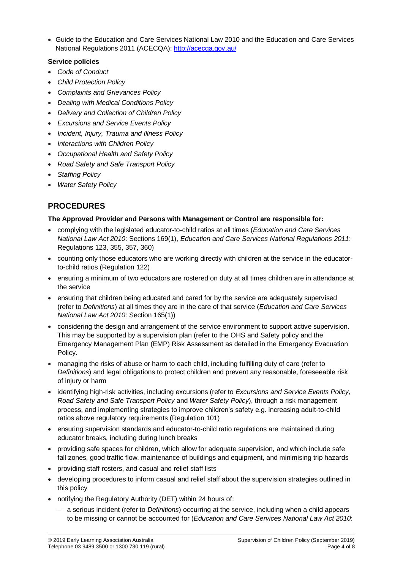Guide to the Education and Care Services National Law 2010 and the Education and Care Services National Regulations 2011 (ACECQA):<http://acecqa.gov.au/>

#### **Service policies**

- *Code of Conduct*
- *Child Protection Policy*
- *Complaints and Grievances Policy*
- *Dealing with Medical Conditions Policy*
- *Delivery and Collection of Children Policy*
- *Excursions and Service Events Policy*
- *Incident, Injury, Trauma and Illness Policy*
- *Interactions with Children Policy*
- *Occupational Health and Safety Policy*
- *Road Safety and Safe Transport Policy*
- *Staffing Policy*
- *Water Safety Policy*

# **PROCEDURES**

#### **The Approved Provider and Persons with Management or Control are responsible for:**

- complying with the legislated educator-to-child ratios at all times (*Education and Care Services National Law Act 2010*: Sections 169(1), *Education and Care Services National Regulations 2011*: Regulations 123, 355, 357, 360)
- counting only those educators who are working directly with children at the service in the educatorto-child ratios (Regulation 122)
- ensuring a minimum of two educators are rostered on duty at all times children are in attendance at the service
- ensuring that children being educated and cared for by the service are adequately supervised (refer to *Definitions*) at all times they are in the care of that service (*Education and Care Services National Law Act 2010*: Section 165(1))
- considering the design and arrangement of the service environment to support active supervision. This may be supported by a supervision plan (refer to the OHS and Safety policy and the Emergency Management Plan (EMP) Risk Assessment as detailed in the Emergency Evacuation Policy.
- managing the risks of abuse or harm to each child, including fulfilling duty of care (refer to *Definitions*) and legal obligations to protect children and prevent any reasonable, foreseeable risk of injury or harm
- identifying high-risk activities, including excursions (refer to *Excursions and Service Events Policy, Road Safety and Safe Transport Policy* and *Water Safety Policy*), through a risk management process, and implementing strategies to improve children's safety e.g. increasing adult-to-child ratios above regulatory requirements (Regulation 101)
- ensuring supervision standards and educator-to-child ratio regulations are maintained during educator breaks, including during lunch breaks
- providing safe spaces for children, which allow for adequate supervision, and which include safe fall zones, good traffic flow, maintenance of buildings and equipment, and minimising trip hazards
- providing staff rosters, and casual and relief staff lists
- developing procedures to inform casual and relief staff about the supervision strategies outlined in this policy
- notifying the Regulatory Authority (DET) within 24 hours of:
	- a serious incident (refer to *Definitions*) occurring at the service, including when a child appears to be missing or cannot be accounted for (*Education and Care Services National Law Act 2010*: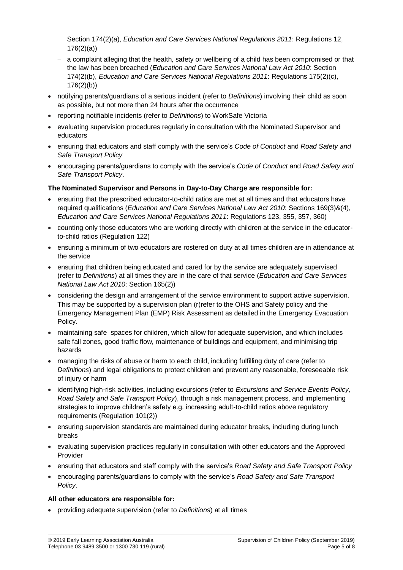Section 174(2)(a), *Education and Care Services National Regulations 2011*: Regulations 12, 176(2)(a))

- $-$  a complaint alleging that the health, safety or wellbeing of a child has been compromised or that the law has been breached (*Education and Care Services National Law Act 2010*: Section 174(2)(b), *Education and Care Services National Regulations 2011*: Regulations 175(2)(c), 176(2)(b))
- notifying parents/guardians of a serious incident (refer to *Definitions*) involving their child as soon as possible, but not more than 24 hours after the occurrence
- reporting notifiable incidents (refer to *Definitions*) to WorkSafe Victoria
- evaluating supervision procedures regularly in consultation with the Nominated Supervisor and educators
- ensuring that educators and staff comply with the service's *Code of Conduct* and *Road Safety and Safe Transport Policy*
- encouraging parents/guardians to comply with the service's *Code of Conduct* and *Road Safety and Safe Transport Policy*.

#### **The Nominated Supervisor and Persons in Day-to-Day Charge are responsible for:**

- ensuring that the prescribed educator-to-child ratios are met at all times and that educators have required qualifications (*Education and Care Services National Law Act 2010*: Sections 169(3)&(4), *Education and Care Services National Regulations 2011*: Regulations 123, 355, 357, 360)
- counting only those educators who are working directly with children at the service in the educatorto-child ratios (Regulation 122)
- ensuring a minimum of two educators are rostered on duty at all times children are in attendance at the service
- ensuring that children being educated and cared for by the service are adequately supervised (refer to *Definitions*) at all times they are in the care of that service (*Education and Care Services National Law Act 2010*: Section 165(2))
- considering the design and arrangement of the service environment to support active supervision. This may be supported by a supervision plan (r(refer to the OHS and Safety policy and the Emergency Management Plan (EMP) Risk Assessment as detailed in the Emergency Evacuation Policy.
- maintaining safe spaces for children, which allow for adequate supervision, and which includes safe fall zones, good traffic flow, maintenance of buildings and equipment, and minimising trip hazards
- managing the risks of abuse or harm to each child, including fulfilling duty of care (refer to *Definitions*) and legal obligations to protect children and prevent any reasonable, foreseeable risk of injury or harm
- identifying high-risk activities, including excursions (refer to *Excursions and Service Events Policy, Road Safety and Safe Transport Policy*), through a risk management process, and implementing strategies to improve children's safety e.g. increasing adult-to-child ratios above regulatory requirements (Regulation 101(2))
- ensuring supervision standards are maintained during educator breaks, including during lunch breaks
- evaluating supervision practices regularly in consultation with other educators and the Approved Provider
- ensuring that educators and staff comply with the service's *Road Safety and Safe Transport Policy*
- encouraging parents/guardians to comply with the service's *Road Safety and Safe Transport Policy*.

#### **All other educators are responsible for:**

providing adequate supervision (refer to *Definitions*) at all times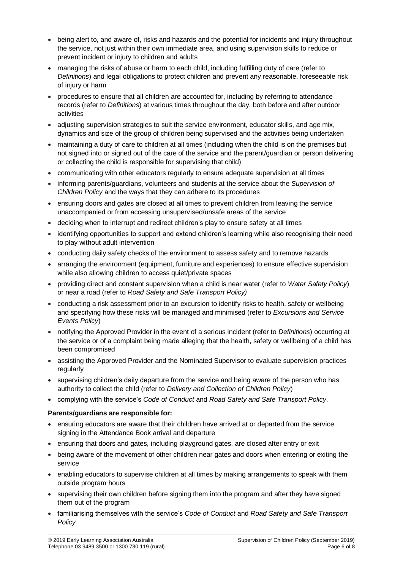- being alert to, and aware of, risks and hazards and the potential for incidents and injury throughout the service, not just within their own immediate area, and using supervision skills to reduce or prevent incident or injury to children and adults
- managing the risks of abuse or harm to each child, including fulfilling duty of care (refer to *Definitions*) and legal obligations to protect children and prevent any reasonable, foreseeable risk of injury or harm
- procedures to ensure that all children are accounted for, including by referring to attendance records (refer to *Definitions*) at various times throughout the day, both before and after outdoor activities
- adjusting supervision strategies to suit the service environment, educator skills, and age mix, dynamics and size of the group of children being supervised and the activities being undertaken
- maintaining a duty of care to children at all times (including when the child is on the premises but not signed into or signed out of the care of the service and the parent/guardian or person delivering or collecting the child is responsible for supervising that child)
- communicating with other educators regularly to ensure adequate supervision at all times
- informing parents/guardians, volunteers and students at the service about the *Supervision of Children Policy* and the ways that they can adhere to its procedures
- ensuring doors and gates are closed at all times to prevent children from leaving the service unaccompanied or from accessing unsupervised/unsafe areas of the service
- deciding when to interrupt and redirect children's play to ensure safety at all times
- identifying opportunities to support and extend children's learning while also recognising their need to play without adult intervention
- conducting daily safety checks of the environment to assess safety and to remove hazards
- arranging the environment (equipment, furniture and experiences) to ensure effective supervision while also allowing children to access quiet/private spaces
- providing direct and constant supervision when a child is near water (refer to *Water Safety Policy*) or near a road (refer to *Road Safety and Safe Transport Policy)*
- conducting a risk assessment prior to an excursion to identify risks to health, safety or wellbeing and specifying how these risks will be managed and minimised (refer to *Excursions and Service Events Policy*)
- notifying the Approved Provider in the event of a serious incident (refer to *Definitions*) occurring at the service or of a complaint being made alleging that the health, safety or wellbeing of a child has been compromised
- assisting the Approved Provider and the Nominated Supervisor to evaluate supervision practices regularly
- supervising children's daily departure from the service and being aware of the person who has authority to collect the child (refer to *Delivery and Collection of Children Policy*)
- complying with the service's *Code of Conduct* and *Road Safety and Safe Transport Policy*.

### **Parents/guardians are responsible for:**

- ensuring educators are aware that their children have arrived at or departed from the service signing in the Attendance Book arrival and departure
- ensuring that doors and gates, including playground gates, are closed after entry or exit
- being aware of the movement of other children near gates and doors when entering or exiting the service
- enabling educators to supervise children at all times by making arrangements to speak with them outside program hours
- supervising their own children before signing them into the program and after they have signed them out of the program
- familiarising themselves with the service's *Code of Conduct* and *Road Safety and Safe Transport Policy*